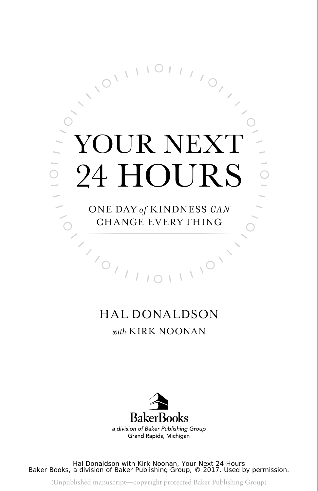# YOUR NEXT 24 HOURS

 $\frac{1}{\sqrt{2}}$ 

◯

ONE DAY *of* KINDNESS *CAN* CHANGE EVERYTHING

### HAL DONALDSON

*with* KIRK NOONAN



Hal Donaldson with Kirk Noonan, Your Next 24 Hours Baker Books, a division of Baker Publishing Group, © 2017. Used by permission.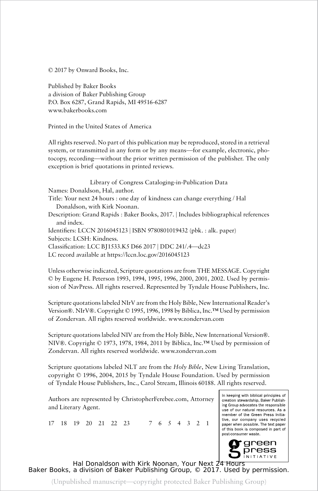© 2017 by Onward Books, Inc.

Published by Baker Books a division of Baker Publishing Group P.O. Box 6287, Grand Rapids, MI 49516-6287 www.bakerbooks.com

Printed in the United States of America

All rights reserved. No part of this publication may be reproduced, stored in a retrieval system, or transmitted in any form or by any means—for example, electronic, photocopy, recording—without the prior written permission of the publisher. The only exception is brief quotations in printed reviews.

Library of Congress Cataloging-in-Publication Data Names: Donaldson, Hal, author. Title: Your next 24 hours : one day of kindness can change everything / Hal Donaldson, with Kirk Noonan. Description: Grand Rapids : Baker Books, 2017. | Includes bibliographical references and index. Identifiers: LCCN 2016045123 | ISBN 9780801019432 (pbk. : alk. paper) Subjects: LCSH: Kindness. Classification: LCC BJ1533.K5 D66 2017 | DDC 241/.4—dc23 LC record available at https://lccn.loc.gov/2016045123

Unless otherwise indicated, Scripture quotations are from THE MESSAGE. Copyright © by Eugene H. Peterson 1993, 1994, 1995, 1996, 2000, 2001, 2002. Used by permission of NavPress. All rights reserved. Represented by Tyndale House Publishers, Inc.

Scripture quotations labeled NIrV are from the Holy Bible, New International Reader's Version®. NIrV®. Copyright © 1995, 1996, 1998 by Biblica, Inc.™ Used by permission of Zondervan. All rights reserved worldwide. www.zondervan.com

Scripture quotations labeled NIV are from the Holy Bible, New International Version®. NIV®. Copyright © 1973, 1978, 1984, 2011 by Biblica, Inc.™ Used by permission of Zondervan. All rights reserved worldwide. www.zondervan.com

Scripture quotations labeled NLT are from the *Holy Bible*, New Living Translation, copyright © 1996, 2004, 2015 by Tyndale House Foundation. Used by permission of Tyndale House Publishers, Inc., Carol Stream, Illinois 60188. All rights reserved.

Authors are represented by ChristopherFerebee.com, Attorney and Literary Agent.

17 18 19 20 21 22 23 7 6 5 4 3 2 1



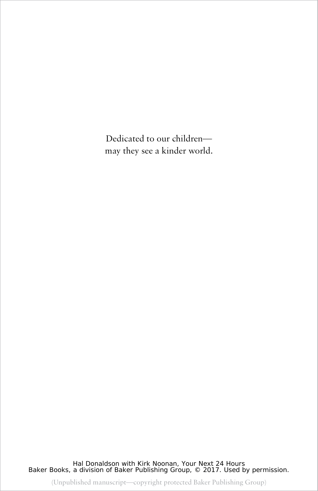Dedicated to our children may they see a kinder world.

Hal Donaldson with Kirk Noonan, Your Next 24 Hours Baker Books, a division of Baker Publishing Group, © 2017. Used by permission.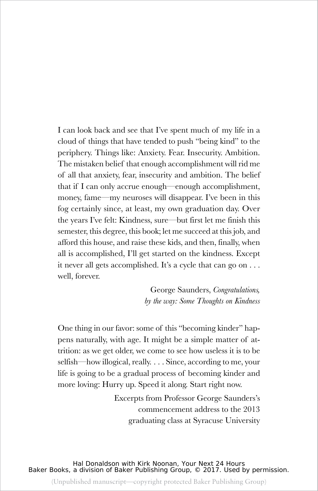I can look back and see that I've spent much of my life in a cloud of things that have tended to push "being kind" to the periphery. Things like: Anxiety. Fear. Insecurity. Ambition. The mistaken belief that enough accomplishment will rid me of all that anxiety, fear, insecurity and ambition. The belief that if I can only accrue enough—enough accomplishment, money, fame—my neuroses will disappear. I've been in this fog certainly since, at least, my own graduation day. Over the years I've felt: Kindness, sure—but first let me finish this semester, this degree, this book; let me succeed at this job, and afford this house, and raise these kids, and then, finally, when all is accomplished, I'll get started on the kindness. Except it never all gets accomplished. It's a cycle that can go on . . . well, forever.

> George Saunders, *Congratulations, by the way: Some Thoughts on Kindness*

One thing in our favor: some of this "becoming kinder" happens naturally, with age. It might be a simple matter of attrition: as we get older, we come to see how useless it is to be selfish—how illogical, really. . . . Since, according to me, your life is going to be a gradual process of becoming kinder and more loving: Hurry up. Speed it along. Start right now.

> Excerpts from Professor George Saunders's commencement address to the 2013 graduating class at Syracuse University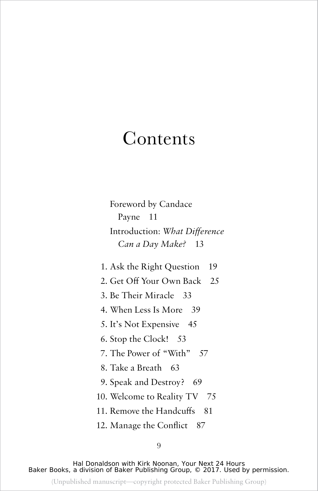## Contents

Foreword by Candace Payne 11 Introduction: *What Difference Can a Day Make?* 13

- 1. Ask the Right Question 19
- 2. Get Off Your Own Back 25
- 3. Be Their Miracle 33
- 4. When Less Is More 39
- 5. It's Not Expensive 45
- 6. Stop the Clock! 53
- 7. The Power of "With" 57
- 8. Take a Breath 63
- 9. Speak and Destroy? 69
- 10. Welcome to Reality TV 75
- 11. Remove the Handcuffs 81
- 12. Manage the Conflict 87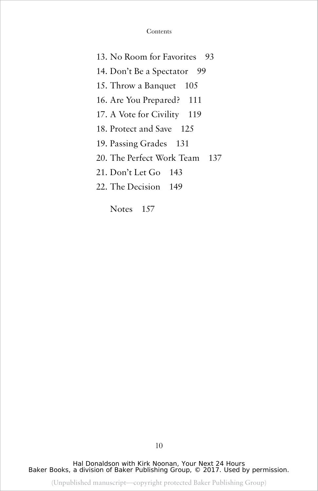#### Contents

| 13. No Room for Favorites 93     |
|----------------------------------|
| 14. Don't Be a Spectator 99      |
| 15. Throw a Banquet 105          |
| 16. Are You Prepared? 111        |
| 17. A Vote for Civility 119      |
| 18. Protect and Save 125         |
| 19. Passing Grades 131           |
| 20. The Perfect Work Team<br>137 |
| 21. Don't Let Go 143             |
| 22. The Decision 149             |

Notes 157

Hal Donaldson with Kirk Noonan, Your Next 24 Hours Baker Books, a division of Baker Publishing Group, © 2017. Used by permission.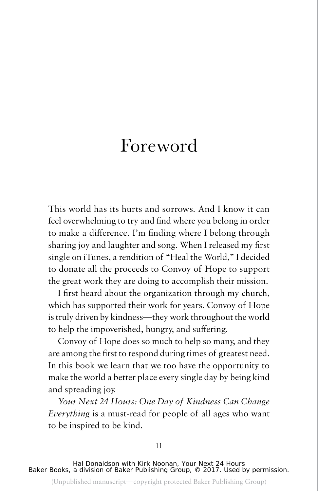# Foreword

This world has its hurts and sorrows. And I know it can feel overwhelming to try and find where you belong in order to make a difference. I'm finding where I belong through sharing joy and laughter and song. When I released my first single on iTunes, a rendition of "Heal the World," I decided to donate all the proceeds to Convoy of Hope to support the great work they are doing to accomplish their mission.

I first heard about the organization through my church, which has supported their work for years. Convoy of Hope is truly driven by kindness—they work throughout the world to help the impoverished, hungry, and suffering.

Convoy of Hope does so much to help so many, and they are among the first to respond during times of greatest need. In this book we learn that we too have the opportunity to make the world a better place every single day by being kind and spreading joy.

*Your Next 24 Hours: One Day of Kindness Can Change Everything* is a must-read for people of all ages who want to be inspired to be kind.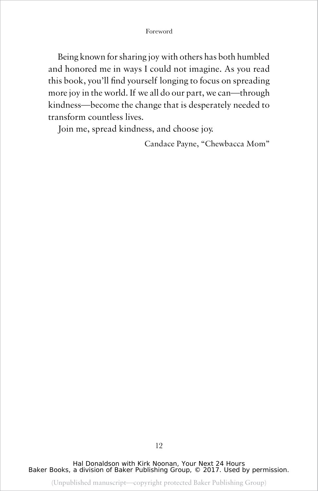#### Foreword

Being known for sharing joy with others has both humbled and honored me in ways I could not imagine. As you read this book, you'll find yourself longing to focus on spreading more joy in the world. If we all do our part, we can—through kindness—become the change that is desperately needed to transform countless lives.

Join me, spread kindness, and choose joy.

Candace Payne, "Chewbacca Mom"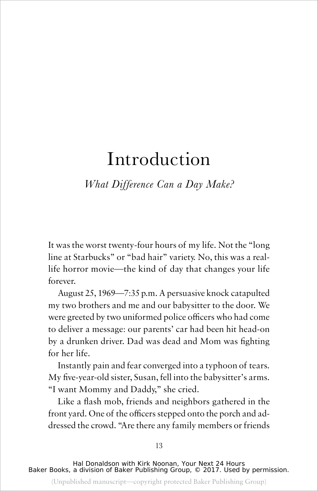*What Difference Can a Day Make?*

It was the worst twenty-four hours of my life. Not the "long line at Starbucks" or "bad hair" variety. No, this was a reallife horror movie—the kind of day that changes your life forever.

August 25, 1969—7:35 p.m. A persuasive knock catapulted my two brothers and me and our babysitter to the door. We were greeted by two uniformed police officers who had come to deliver a message: our parents' car had been hit head-on by a drunken driver. Dad was dead and Mom was fighting for her life.

Instantly pain and fear converged into a typhoon of tears. My five-year-old sister, Susan, fell into the babysitter's arms. "I want Mommy and Daddy," she cried.

Like a flash mob, friends and neighbors gathered in the front yard. One of the officers stepped onto the porch and addressed the crowd. "Are there any family members or friends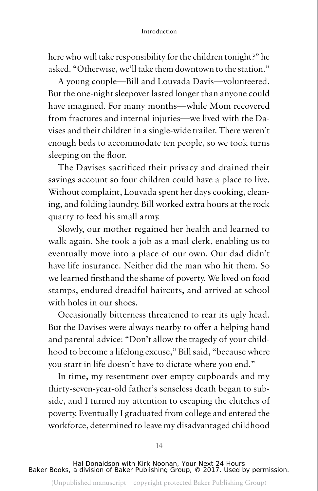here who will take responsibility for the children tonight?" he asked. "Otherwise, we'll take them downtown to the station."

A young couple—Bill and Louvada Davis—volunteered. But the one-night sleepover lasted longer than anyone could have imagined. For many months—while Mom recovered from fractures and internal injuries—we lived with the Davises and their children in a single-wide trailer. There weren't enough beds to accommodate ten people, so we took turns sleeping on the floor.

The Davises sacrificed their privacy and drained their savings account so four children could have a place to live. Without complaint, Louvada spent her days cooking, cleaning, and folding laundry. Bill worked extra hours at the rock quarry to feed his small army.

Slowly, our mother regained her health and learned to walk again. She took a job as a mail clerk, enabling us to eventually move into a place of our own. Our dad didn't have life insurance. Neither did the man who hit them. So we learned firsthand the shame of poverty. We lived on food stamps, endured dreadful haircuts, and arrived at school with holes in our shoes.

Occasionally bitterness threatened to rear its ugly head. But the Davises were always nearby to offer a helping hand and parental advice: "Don't allow the tragedy of your childhood to become a lifelong excuse," Bill said, "because where you start in life doesn't have to dictate where you end."

In time, my resentment over empty cupboards and my thirty-seven-year-old father's senseless death began to subside, and I turned my attention to escaping the clutches of poverty. Eventually I graduated from college and entered the workforce, determined to leave my disadvantaged childhood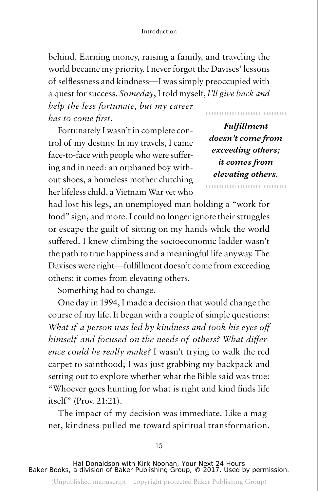behind. Earning money, raising a family, and traveling the world became my priority. I never forgot the Davises' lessons of selflessness and kindness—I was simply preoccupied with a quest for success. *Someday*, I told myself, *I'll give back and* 

*help the less fortunate, but my career has to come first.*

Fortunately I wasn't in complete control of my destiny. In my travels, I came face-to-face with people who were suffering and in need: an orphaned boy without shoes, a homeless mother clutching her lifeless child, a Vietnam War vet who

*Fulfillment doesn't come from exceeding others; it comes from elevating others.* 

had lost his legs, an unemployed man holding a "work for food" sign, and more. I could no longer ignore their struggles or escape the guilt of sitting on my hands while the world suffered. I knew climbing the socioeconomic ladder wasn't the path to true happiness and a meaningful life anyway. The Davises were right—fulfillment doesn't come from exceeding others; it comes from elevating others.

Something had to change.

One day in 1994, I made a decision that would change the course of my life. It began with a couple of simple questions: *What if a person was led by kindness and took his eyes off himself and focused on the needs of others? What difference could he really make?* I wasn't trying to walk the red carpet to sainthood; I was just grabbing my backpack and setting out to explore whether what the Bible said was true: "Whoever goes hunting for what is right and kind finds life itself" (Prov. 21:21).

The impact of my decision was immediate. Like a magnet, kindness pulled me toward spiritual transformation.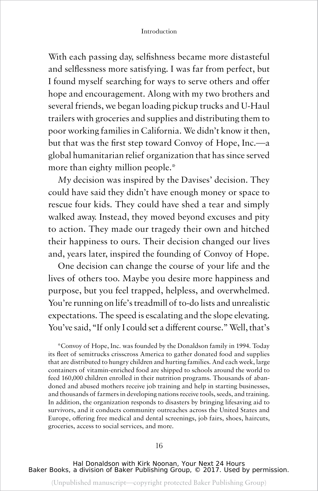With each passing day, selfishness became more distasteful and selflessness more satisfying. I was far from perfect, but I found myself searching for ways to serve others and offer hope and encouragement. Along with my two brothers and several friends, we began loading pickup trucks and U-Haul trailers with groceries and supplies and distributing them to poor working families in California. We didn't know it then, but that was the first step toward Convoy of Hope, Inc.—a global humanitarian relief organization that has since served more than eighty million people.\*

*My* decision was inspired by the Davises' decision. They could have said they didn't have enough money or space to rescue four kids. They could have shed a tear and simply walked away. Instead, they moved beyond excuses and pity to action. They made our tragedy their own and hitched their happiness to ours. Their decision changed our lives and, years later, inspired the founding of Convoy of Hope.

One decision can change the course of your life and the lives of others too. Maybe you desire more happiness and purpose, but you feel trapped, helpless, and overwhelmed. You're running on life's treadmill of to-do lists and unrealistic expectations. The speed is escalating and the slope elevating. You've said, "If only I could set a different course." Well, that's

\*Convoy of Hope, Inc. was founded by the Donaldson family in 1994. Today its fleet of semitrucks crisscross America to gather donated food and supplies that are distributed to hungry children and hurting families. And each week, large containers of vitamin-enriched food are shipped to schools around the world to feed 160,000 children enrolled in their nutrition programs. Thousands of abandoned and abused mothers receive job training and help in starting businesses, and thousands of farmers in developing nations receive tools, seeds, and training. In addition, the organization responds to disasters by bringing lifesaving aid to survivors, and it conducts community outreaches across the United States and Europe, offering free medical and dental screenings, job fairs, shoes, haircuts, groceries, access to social services, and more.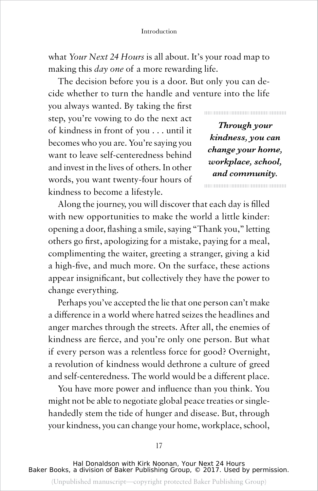what *Your Next 24 Hours* is all about. It's your road map to making this *day one* of a more rewarding life.

The decision before you is a door. But only you can decide whether to turn the handle and venture into the life

you always wanted. By taking the first step, you're vowing to do the next act of kindness in front of you . . . until it becomes who you are. You're saying you want to leave self-centeredness behind and invest in the lives of others. In other words, you want twenty-four hours of kindness to become a lifestyle.

*Through your kindness, you can change your home, workplace, school, and community.*

Along the journey, you will discover that each day is filled with new opportunities to make the world a little kinder: opening a door, flashing a smile, saying "Thank you," letting others go first, apologizing for a mistake, paying for a meal, complimenting the waiter, greeting a stranger, giving a kid a high-five, and much more. On the surface, these actions appear insignificant, but collectively they have the power to change everything.

Perhaps you've accepted the lie that one person can't make a difference in a world where hatred seizes the headlines and anger marches through the streets. After all, the enemies of kindness are fierce, and you're only one person. But what if every person was a relentless force for good? Overnight, a revolution of kindness would dethrone a culture of greed and self-centeredness. The world would be a different place.

You have more power and influence than you think. You might not be able to negotiate global peace treaties or singlehandedly stem the tide of hunger and disease. But, through your kindness, you can change your home, workplace, school,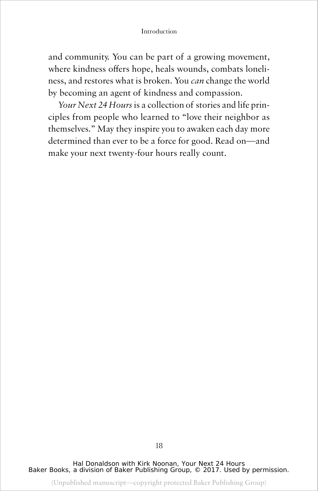and community. You can be part of a growing movement, where kindness offers hope, heals wounds, combats loneliness, and restores what is broken. You *can* change the world by becoming an agent of kindness and compassion.

*Your Next 24 Hours* is a collection of stories and life principles from people who learned to "love their neighbor as themselves." May they inspire you to awaken each day more determined than ever to be a force for good. Read on—and make your next twenty-four hours really count.

Hal Donaldson with Kirk Noonan, Your Next 24 Hours Baker Books, a division of Baker Publishing Group, © 2017. Used by permission.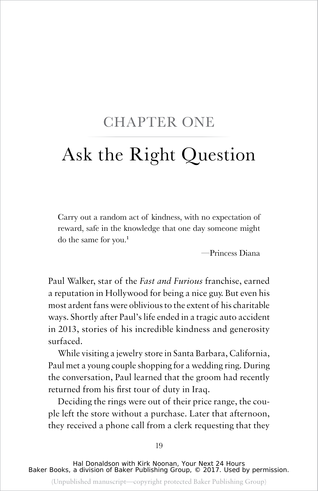### CHAPTER ONE

# Ask the Right Question

Carry out a random act of kindness, with no expectation of reward, safe in the knowledge that one day someone might do the same for you.**<sup>1</sup>**

—Princess Diana

Paul Walker, star of the *Fast and Furious* franchise, earned a reputation in Hollywood for being a nice guy. But even his most ardent fans were oblivious to the extent of his charitable ways. Shortly after Paul's life ended in a tragic auto accident in 2013, stories of his incredible kindness and generosity surfaced.

While visiting a jewelry store in Santa Barbara, California, Paul met a young couple shopping for a wedding ring. During the conversation, Paul learned that the groom had recently returned from his first tour of duty in Iraq.

Deciding the rings were out of their price range, the couple left the store without a purchase. Later that afternoon, they received a phone call from a clerk requesting that they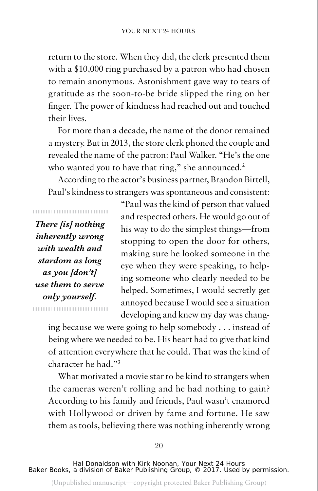return to the store. When they did, the clerk presented them with a \$10,000 ring purchased by a patron who had chosen to remain anonymous. Astonishment gave way to tears of gratitude as the soon-to-be bride slipped the ring on her finger. The power of kindness had reached out and touched their lives.

For more than a decade, the name of the donor remained a mystery. But in 2013, the store clerk phoned the couple and revealed the name of the patron: Paul Walker. "He's the one who wanted you to have that ring," she announced.**<sup>2</sup>**

According to the actor's business partner, Brandon Birtell, Paul's kindness to strangers was spontaneous and consistent:

*There [is] nothing inherently wrong with wealth and stardom as long as you [don't] use them to serve only yourself.*  "Paul was the kind of person that valued and respected others. He would go out of his way to do the simplest things—from stopping to open the door for others, making sure he looked someone in the eye when they were speaking, to helping someone who clearly needed to be helped. Sometimes, I would secretly get annoyed because I would see a situation developing and knew my day was chang-

ing because we were going to help somebody . . . instead of being where we needed to be. His heart had to give that kind of attention everywhere that he could. That was the kind of character he had."**<sup>3</sup>**

What motivated a movie star to be kind to strangers when the cameras weren't rolling and he had nothing to gain? According to his family and friends, Paul wasn't enamored with Hollywood or driven by fame and fortune. He saw them as tools, believing there was nothing inherently wrong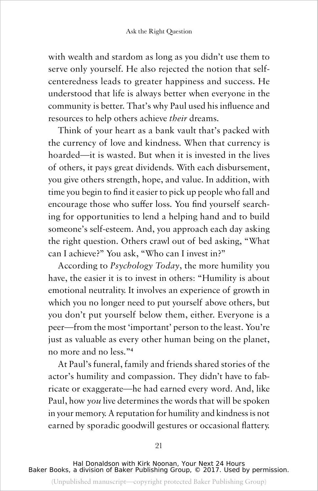with wealth and stardom as long as you didn't use them to serve only yourself. He also rejected the notion that selfcenteredness leads to greater happiness and success. He understood that life is always better when everyone in the community is better. That's why Paul used his influence and resources to help others achieve *their* dreams.

Think of your heart as a bank vault that's packed with the currency of love and kindness. When that currency is hoarded—it is wasted. But when it is invested in the lives of others, it pays great dividends. With each disbursement, you give others strength, hope, and value. In addition, with time you begin to find it easier to pick up people who fall and encourage those who suffer loss. You find yourself searching for opportunities to lend a helping hand and to build someone's self-esteem. And, you approach each day asking the right question. Others crawl out of bed asking, "What can I achieve?" You ask, "Who can I invest in?"

According to *Psychology Today*, the more humility you have, the easier it is to invest in others: "Humility is about emotional neutrality. It involves an experience of growth in which you no longer need to put yourself above others, but you don't put yourself below them, either. Everyone is a peer—from the most 'important' person to the least. You're just as valuable as every other human being on the planet, no more and no less."**<sup>4</sup>**

At Paul's funeral, family and friends shared stories of the actor's humility and compassion. They didn't have to fabricate or exaggerate—he had earned every word. And, like Paul, how *you* live determines the words that will be spoken in your memory. A reputation for humility and kindness is not earned by sporadic goodwill gestures or occasional flattery.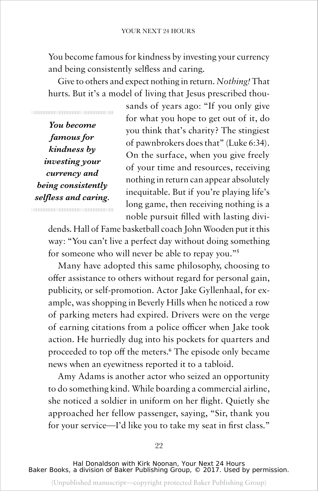You become famous for kindness by investing your currency and being consistently selfless and caring.

Give to others and expect nothing in return. *Nothing!* That hurts. But it's a model of living that Jesus prescribed thou-

*You become famous for kindness by investing your currency and being consistently selfless and caring.*  sands of years ago: "If you only give for what you hope to get out of it, do you think that's charity? The stingiest of pawnbrokers does that" (Luke 6:34). On the surface, when you give freely of your time and resources, receiving nothing in return can appear absolutely inequitable. But if you're playing life's long game, then receiving nothing is a noble pursuit filled with lasting divi-

dends. Hall of Fame basketball coach John Wooden put it this way: "You can't live a perfect day without doing something for someone who will never be able to repay you."**<sup>5</sup>**

Many have adopted this same philosophy, choosing to offer assistance to others without regard for personal gain, publicity, or self-promotion. Actor Jake Gyllenhaal, for example, was shopping in Beverly Hills when he noticed a row of parking meters had expired. Drivers were on the verge of earning citations from a police officer when Jake took action. He hurriedly dug into his pockets for quarters and proceeded to top off the meters.**<sup>6</sup>** The episode only became news when an eyewitness reported it to a tabloid.

Amy Adams is another actor who seized an opportunity to do something kind. While boarding a commercial airline, she noticed a soldier in uniform on her flight. Quietly she approached her fellow passenger, saying, "Sir, thank you for your service—I'd like you to take my seat in first class."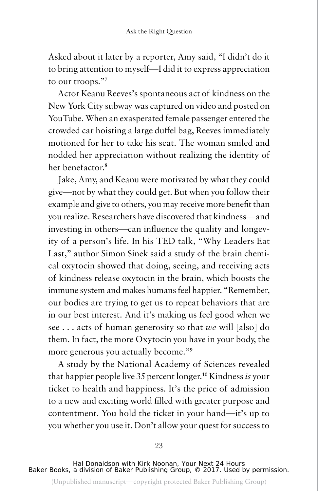Asked about it later by a reporter, Amy said, "I didn't do it to bring attention to myself—I did it to express appreciation to our troops."**<sup>7</sup>**

Actor Keanu Reeves's spontaneous act of kindness on the New York City subway was captured on video and posted on YouTube. When an exasperated female passenger entered the crowded car hoisting a large duffel bag, Reeves immediately motioned for her to take his seat. The woman smiled and nodded her appreciation without realizing the identity of her benefactor.**<sup>8</sup>**

Jake, Amy, and Keanu were motivated by what they could give—not by what they could get. But when you follow their example and give to others, you may receive more benefit than you realize. Researchers have discovered that kindness—and investing in others—can influence the quality and longevity of a person's life. In his TED talk, "Why Leaders Eat Last," author Simon Sinek said a study of the brain chemical oxytocin showed that doing, seeing, and receiving acts of kindness release oxytocin in the brain, which boosts the immune system and makes humans feel happier. "Remember, our bodies are trying to get us to repeat behaviors that are in our best interest. And it's making us feel good when we see . . . acts of human generosity so that *we* will [also] do them. In fact, the more Oxytocin you have in your body, the more generous you actually become."**<sup>9</sup>**

A study by the National Academy of Sciences revealed that happier people live 35 percent longer.**<sup>10</sup>** Kindness *is* your ticket to health and happiness. It's the price of admission to a new and exciting world filled with greater purpose and contentment. You hold the ticket in your hand—it's up to you whether you use it. Don't allow your quest for success to